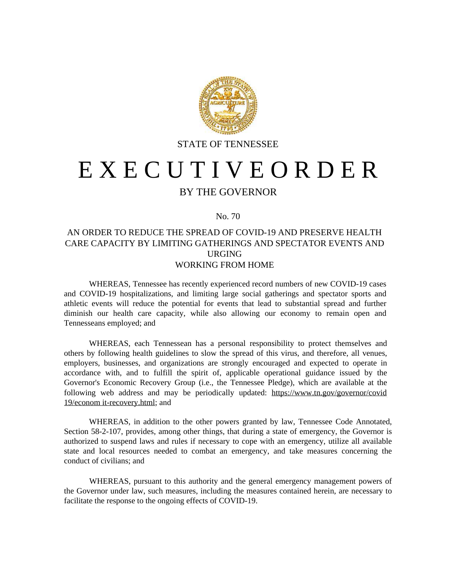

STATE OF TENNESSEE

## E X E C U T I V E O R D E R

## BY THE GOVERNOR

## No. 70

## AN ORDER TO REDUCE THE SPREAD OF COVID-19 AND PRESERVE HEALTH CARE CAPACITY BY LIMITING GATHERINGS AND SPECTATOR EVENTS AND URGING WORKING FROM HOME

WHEREAS, Tennessee has recently experienced record numbers of new COVID-19 cases and COVID-19 hospitalizations, and limiting large social gatherings and spectator sports and athletic events will reduce the potential for events that lead to substantial spread and further diminish our health care capacity, while also allowing our economy to remain open and Tennesseans employed; and

WHEREAS, each Tennessean has a personal responsibility to protect themselves and others by following health guidelines to slow the spread of this virus, and therefore, all venues, employers, businesses, and organizations are strongly encouraged and expected to operate in accordance with, and to fulfill the spirit of, applicable operational guidance issued by the Governor's Economic Recovery Group (i.e., the Tennessee Pledge), which are available at the following web address and may be periodically updated: https://www.tn.gov/governor/covid 19/econom it-recovery.html; and

WHEREAS, in addition to the other powers granted by law, Tennessee Code Annotated, Section 58-2-107, provides, among other things, that during a state of emergency, the Governor is authorized to suspend laws and rules if necessary to cope with an emergency, utilize all available state and local resources needed to combat an emergency, and take measures concerning the conduct of civilians; and

WHEREAS, pursuant to this authority and the general emergency management powers of the Governor under law, such measures, including the measures contained herein, are necessary to facilitate the response to the ongoing effects of COVID-19.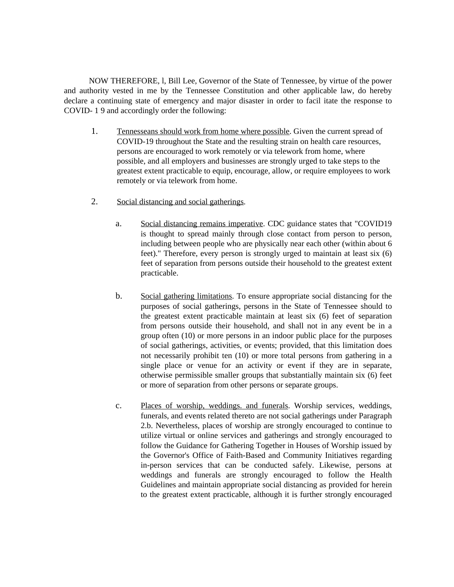NOW THEREFORE, l, Bill Lee, Governor of the State of Tennessee, by virtue of the power and authority vested in me by the Tennessee Constitution and other applicable law, do hereby declare a continuing state of emergency and major disaster in order to facil itate the response to COVID- 1 9 and accordingly order the following:

- 1. Tennesseans should work from home where possible. Given the current spread of COVID-19 throughout the State and the resulting strain on health care resources, persons are encouraged to work remotely or via telework from home, where possible, and all employers and businesses are strongly urged to take steps to the greatest extent practicable to equip, encourage, allow, or require employees to work remotely or via telework from home.
- 2. Social distancing and social gatherings.
	- a. Social distancing remains imperative. CDC guidance states that "COVID19 is thought to spread mainly through close contact from person to person, including between people who are physically near each other (within about 6 feet)." Therefore, every person is strongly urged to maintain at least six (6) feet of separation from persons outside their household to the greatest extent practicable.
	- b. Social gathering limitations. To ensure appropriate social distancing for the purposes of social gatherings, persons in the State of Tennessee should to the greatest extent practicable maintain at least six (6) feet of separation from persons outside their household, and shall not in any event be in a group often (10) or more persons in an indoor public place for the purposes of social gatherings, activities, or events; provided, that this limitation does not necessarily prohibit ten (10) or more total persons from gathering in a single place or venue for an activity or event if they are in separate, otherwise permissible smaller groups that substantially maintain six (6) feet or more of separation from other persons or separate groups.
	- c. Places of worship, weddings. and funerals. Worship services, weddings, funerals, and events related thereto are not social gatherings under Paragraph 2.b. Nevertheless, places of worship are strongly encouraged to continue to utilize virtual or online services and gatherings and strongly encouraged to follow the Guidance for Gathering Together in Houses of Worship issued by the Governor's Office of Faith-Based and Community Initiatives regarding in-person services that can be conducted safely. Likewise, persons at weddings and funerals are strongly encouraged to follow the Health Guidelines and maintain appropriate social distancing as provided for herein to the greatest extent practicable, although it is further strongly encouraged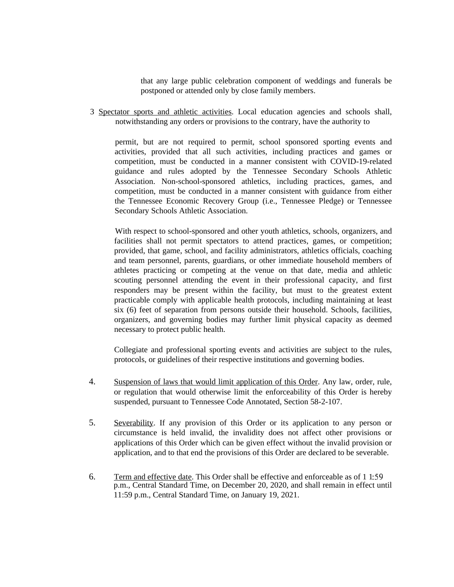that any large public celebration component of weddings and funerals be postponed or attended only by close family members.

3 Spectator sports and athletic activities. Local education agencies and schools shall, notwithstanding any orders or provisions to the contrary, have the authority to

permit, but are not required to permit, school sponsored sporting events and activities, provided that all such activities, including practices and games or competition, must be conducted in a manner consistent with COVID-19-related guidance and rules adopted by the Tennessee Secondary Schools Athletic Association. Non-school-sponsored athletics, including practices, games, and competition, must be conducted in a manner consistent with guidance from either the Tennessee Economic Recovery Group (i.e., Tennessee Pledge) or Tennessee Secondary Schools Athletic Association.

With respect to school-sponsored and other youth athletics, schools, organizers, and facilities shall not permit spectators to attend practices, games, or competition; provided, that game, school, and facility administrators, athletics officials, coaching and team personnel, parents, guardians, or other immediate household members of athletes practicing or competing at the venue on that date, media and athletic scouting personnel attending the event in their professional capacity, and first responders may be present within the facility, but must to the greatest extent practicable comply with applicable health protocols, including maintaining at least six (6) feet of separation from persons outside their household. Schools, facilities, organizers, and governing bodies may further limit physical capacity as deemed necessary to protect public health.

Collegiate and professional sporting events and activities are subject to the rules, protocols, or guidelines of their respective institutions and governing bodies.

- 4. Suspension of laws that would limit application of this Order. Any law, order, rule, or regulation that would otherwise limit the enforceability of this Order is hereby suspended, pursuant to Tennessee Code Annotated, Section 58-2-107.
- 5. Severability. If any provision of this Order or its application to any person or circumstance is held invalid, the invalidity does not affect other provisions or applications of this Order which can be given effect without the invalid provision or application, and to that end the provisions of this Order are declared to be severable.
- 6. Term and effective date. This Order shall be effective and enforceable as of 1 1 p.m., Central Standard Time, on December 20, 2020, and shall remain in effect until 11:59 p.m., Central Standard Time, on January 19, 2021.